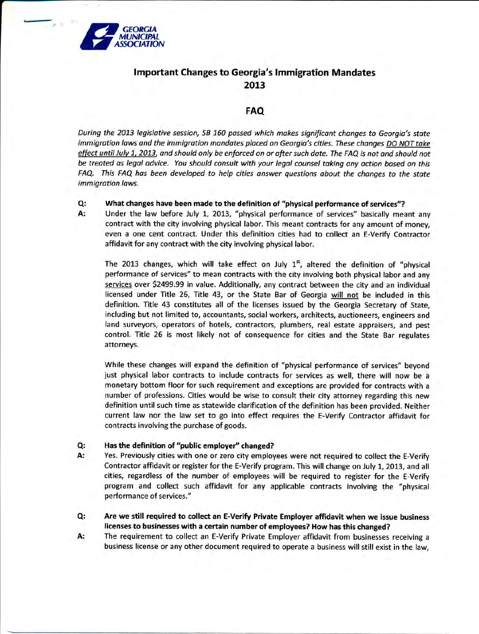

 $x -$ 

# lmportant Changes to Georgia's lmmigration Mandates 2013

## FAQ

During the 2013 legislative session, SB 160 passed which makes significant changes to Georgia's state immigration laws and the immigration mandates placed on Georgia's cities. These changes DO NOT take effect until July 1, 2013, and should only be enforced on or after such date. The FAQ is not and should not be treated as legal advice. You should consult with your legol counsel taking any action based on this FAQ. This FAQ has been developed to help cities answer questions about the changes to the state immigration laws.

#### Q: What changes have been made to the definition of "physical performance of services"?

A: Under the law before July 1, 2013, "physical performance of services" basically meant any contract with the city involving physical labor. This meant contracts for any amount of money, even a one cent contract. Under this definition cities had to collect an E-Verify Contractor affidavit for any contract with the city involving physical labor.

The 2013 changes, which will take effect on July  $1<sup>st</sup>$ , altered the definition of "physical performance of services" to mean contracts with the city involving both physical labor and any services over 52499.99 in value. Additionally, any contract between the city and an individual licensed under Title 26, Title 43, or the State Bar of Georgia will not be included in this definition. Title 43 constitutes all of the licenses issued by the Georgia Secretary of State, including but not limited to, accountants, social workers, architects, auctioneers, engineers and land surveyors, operators of hotels, contractors, plumbers, real estate appraisers, and pest control. Title 26 is most likely not of consequence for cities and the State Bar regulates attorneys.

While these changes will expand the definition of "physical performance of services" beyond just physical labor contracts to include contracts for services as well, there will now be a monetary bottom floor for such requirement and exceptions are provided for contracts with <sup>a</sup> number of professions. Cities would be wise to consult their city attorney regarding this new definition until such time as statewide clarification of the definition has been provided. Neither current law nor the law set to go into effect requires the E-Verify Contractor affidavit for contracts involving the purchase of goods.

### Has the definition of "public employer" changed? Q:

A:

- Yes. Previously cities with one or zero city employees were not required to collect the E-Verify Contractor affidavit or register for the E-Verify program. This will change on July 1, 2013, and all cities, regardless of the number of employees will be required to register for the E-Verify program and collect such affidavit for any applicable contracts involving the "physical performance of services."
- Are we still required to collect an E-Verify Private Employer affidavit when we issue business licenses to businesses with a certain number of employees? How has this changed? Q:
- The requirement to collect an E-Verify Private Employer affidavit from businesses receiving <sup>a</sup> business license or any other document required to operate a business will still exist in the law, A: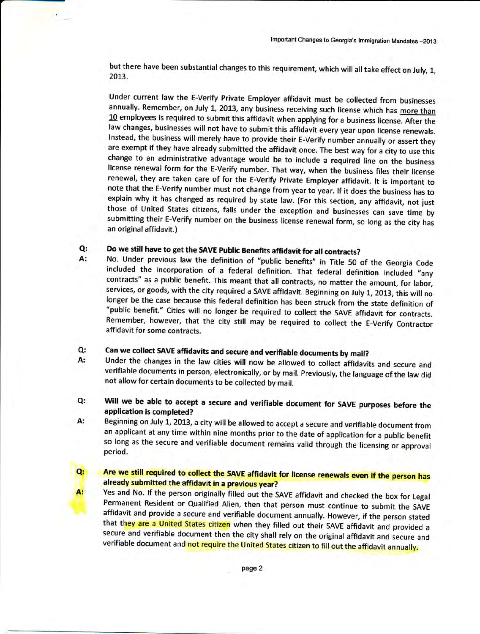but there have been substantial changes to this requirement, which will all take effect on July, 1, 2013.

Under current law the E-Verify Private Employer affidavit must be collected from businesses<br>annually. Remember, on July 1, 2013, any business receiving such license which has more than  $10$  employees is required to submit this affidavit when applying for a business license. After the law changes, businesses will not have to submit this affidavit every year upon license renewals. lnstead, the business will merely have to provide their E-Verify number annually or assert they are exempt if they have already submitted the affidavit once. The best way for a city to use this change to an administrative advantage would be to include a required line on the business license renewal form for the E-Verify number. That way, when the business files their license renewal, they are taken care of for the E-Verify Private Employer affidavit. lt is important to note that the E-Verify number must not change from year to year. If it does the business has to explain why it has changed as required by state law. (For this section, any affidavit, not just those of United States citizens, falls under the exception and businesses can save time by submitting their E-Verify number on the business license renewal form, so long as the city has an original affidavit.)

## Q: A: Do we still have to get the SAVE Public Benefits affidavit for all contracts?

No. Under previous law the definition of "public benefits" in Title 50 of the Georgia Code included the incorporation of a federal definition. That federal definition included "any contracts" as a public benefit. This meant that all contracts, no matter the amount, for labor, services, or goods, with the city required a SAVE affidavit. Beginning on July 1, 2013, this will no<br>longer be the case because this federal definition has been struck from the state definition of "public benefit." Cities will no longer be required to collect the SAVE affidavit for contracts. Remember, however, that the city still may be required to collect the E-Verify contractor affidavit for some contracts.

## can we collect sAVE affidavits and secure and verifiable documents by mail? Q:

 $Q_t$ 

A:

- Under the changes in the law cities will now be allowed to collect affidavits and secure and verifiable documents in person, electronically, or by mail. Previously, the language of the law did not allow for certain documents to be collected by mail. A:
- Will we be able to accept a secure and verifiable document for SAVE purposes before the application is completed? Q:
- Beginning on July L,2073, a city will be allowed to accept a secure and verifiable document from an applicant at any time within nine months prior to the date of application for a public benefit so long as the secure and verifiable document remains valid through the licensing or approval period. A:

## Are we still required to collect the SAVE affidavit for license renewals even if the person has already submitted the affidavit in a previous year?

Yes and No. If the person originally filled out the SAVE affidavit and checked the box for Legal<br>Permanent Resident or Qualified Alien, then that person must continue to submit the SAVE affidavit and provide a secure and verifiable document annually. However, if the person stated<br>that they are a United States citizen when they filled out their SAVE affidavit and provided a secure and verifiable document then the city shall rely on the original affidavit and secure and verifiable document and not require the United States citizen to fill out the affidavit annually.